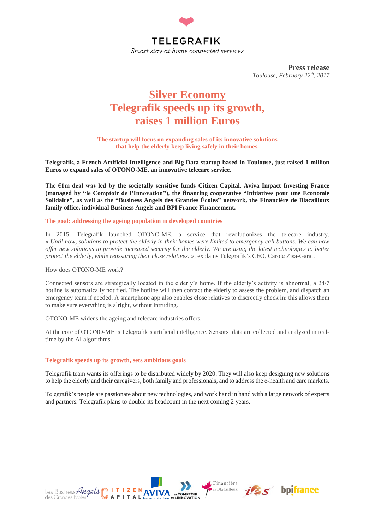

**Press release** *Toulouse, February 22th , 2017*

# **Silver Economy Telegrafik speeds up its growth, raises 1 million Euros**

**The startup will focus on expanding sales of its innovative solutions that help the elderly keep living safely in their homes.**

**Telegrafik, a French Artificial Intelligence and Big Data startup based in Toulouse, just raised 1 million Euros to expand sales of OTONO-ME, an innovative telecare service.**

**The €1m deal was led by the societally sensitive funds Citizen Capital, Aviva Impact Investing France (managed by "le Comptoir de l'Innovation"), the financing cooperative "Initiatives pour une Economie Solidaire", as well as the "Business Angels des Grandes Écoles" network, the Financière de Blacailloux family office, individual Business Angels and BPI France Financement.**

#### **The goal: addressing the ageing population in developed countries**

In 2015, Telegrafik launched OTONO-ME, a service that revolutionizes the telecare industry. *« Until now, solutions to protect the elderly in their homes were limited to emergency call buttons. We can now offer new solutions to provide increased security for the elderly. We are using the latest technologies to better protect the elderly, while reassuring their close relatives. »*, explains Telegrafik's CEO, Carole Zisa-Garat.

#### How does OTONO-ME work?

Connected sensors are strategically located in the elderly's home. If the elderly's activity is abnormal, a 24/7 hotline is automatically notified. The hotline will then contact the elderly to assess the problem, and dispatch an emergency team if needed. A smartphone app also enables close relatives to discreetly check in: this allows them to make sure everything is alright, without intruding.

OTONO-ME widens the ageing and telecare industries offers.

At the core of OTONO-ME is Telegrafik's artificial intelligence. Sensors' data are collected and analyzed in realtime by the AI algorithms.

#### **Telegrafik speeds up its growth, sets ambitious goals**

Telegrafik team wants its offerings to be distributed widely by 2020. They will also keep designing new solutions to help the elderly and their caregivers, both family and professionals, and to address the e-health and care markets.

Telegrafik's people are passionate about new technologies, and work hand in hand with a large network of experts and partners. Telegrafik plans to double its headcount in the next coming 2 years.



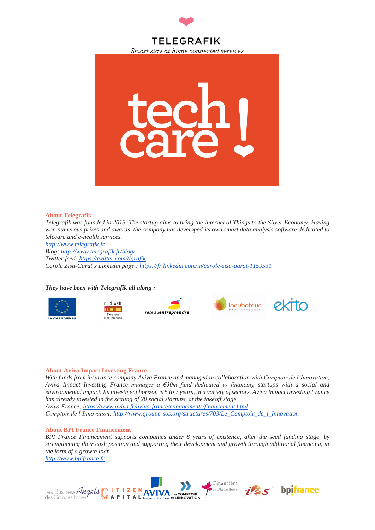



#### **About [Telegrafik](http://www.telegrafik.fr/blog/)**

*Telegrafik was founded in 2013. The startup aims to bring the Internet of Things to the Silver Economy. Having won numerous prizes and awards, the company has developed its own smart data analysis software dedicated to telecare and e-health services.*

*[http://www.telegrafik.fr](http://www.telegrafik.fr/blog/) Blog: <http://www.telegrafik.fr/blog/> Twitter feed: <https://twitter.com/tlgrafik> Carole Zisa-Garat's Linkedin page [:](https://fr.linkedin.com/in/carole-zisa-garat-1159531) <https://fr.linkedin.com/in/carole-zisa-garat-1159531>*

## *They have been with Telegrafik all along :*





reseauentreprendre



## **About Aviva Impact Investing France**

*With funds from insurance company Aviva France and managed in collaboration with Comptoir de l'Innovation, Aviva Impact Investing France manages a €30m fund dedicated to financing startups with a social and environmental impact. Its investment horizon is 5 to 7 years, in a variety of sectors. Aviva Impact Investing France has already invested in the scaling of 20 social startups, at the takeoff stage. Aviva France[:](https://www.aviva.fr/aviva-france/engagements/financement.html) <https://www.aviva.fr/aviva-france/engagements/financement.html> Comptoir de l'Innovation: [http://www.groupe-sos.org/structures/703/Le\\_Comptoir\\_de\\_l\\_Innovation](http://www.groupe-sos.org/structures/703/Le_Comptoir_de_l_Innovation)*

#### **About BPI France Financement**

*BPI France Financement supports companies under 8 years of existence, after the seed funding stage, by strengthening their cash position and supporting their development and growth through additional financing, in the form of a growth loan. [http://www.bpifrance.fr](http://www.bpifrance.fr/Toutes-nos-solutions/Prets/Prets-sans-garanties/Pret-d-amorcage-investissement-avec-le-FEI)*

Financière Blacailloux Les Business Angels **MITIZEN AVIVA** LE COMPTOIR des Grandes Ecole